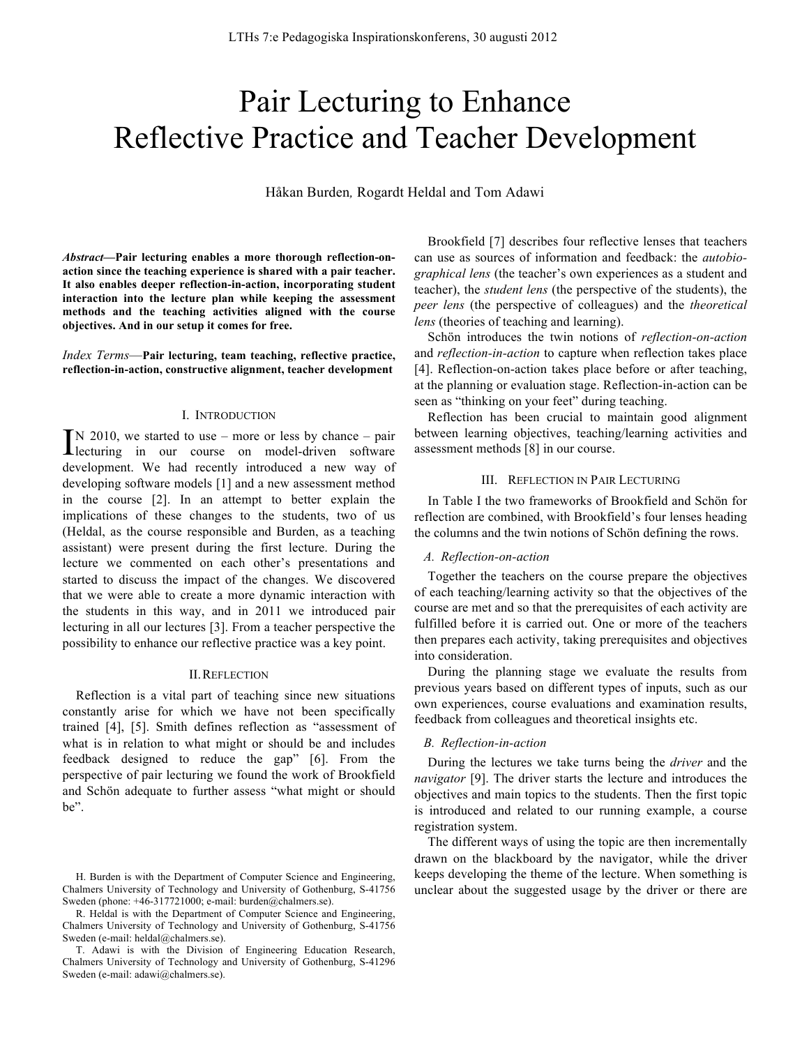# Pair Lecturing to Enhance Reflective Practice and Teacher Development

Håkan Burden*,* Rogardt Heldal and Tom Adawi

*Abstract***—Pair lecturing enables a more thorough reflection-onaction since the teaching experience is shared with a pair teacher. It also enables deeper reflection-in-action, incorporating student interaction into the lecture plan while keeping the assessment methods and the teaching activities aligned with the course objectives. And in our setup it comes for free.**

*Index Terms*—**Pair lecturing, team teaching, reflective practice, reflection-in-action, constructive alignment, teacher development**

#### I. INTRODUCTION

 $\lceil N \rceil 2010$ , we started to use – more or less by chance – pair  $\sum_{n=1}^{\infty}$  102010, we started to use – more or less by chance – pair lecturing in our course on model-driven software development. We had recently introduced a new way of developing software models [1] and a new assessment method in the course [2]. In an attempt to better explain the implications of these changes to the students, two of us (Heldal, as the course responsible and Burden, as a teaching assistant) were present during the first lecture. During the lecture we commented on each other's presentations and started to discuss the impact of the changes. We discovered that we were able to create a more dynamic interaction with the students in this way, and in 2011 we introduced pair lecturing in all our lectures [3]. From a teacher perspective the possibility to enhance our reflective practice was a key point.

## II.REFLECTION

Reflection is a vital part of teaching since new situations constantly arise for which we have not been specifically trained [4], [5]. Smith defines reflection as "assessment of what is in relation to what might or should be and includes feedback designed to reduce the gap" [6]. From the perspective of pair lecturing we found the work of Brookfield and Schön adequate to further assess "what might or should be".

Brookfield [7] describes four reflective lenses that teachers can use as sources of information and feedback: the *autobiographical lens* (the teacher's own experiences as a student and teacher), the *student lens* (the perspective of the students), the *peer lens* (the perspective of colleagues) and the *theoretical lens* (theories of teaching and learning).

Schön introduces the twin notions of *reflection-on-action* and *reflection-in-action* to capture when reflection takes place [4]. Reflection-on-action takes place before or after teaching, at the planning or evaluation stage. Reflection-in-action can be seen as "thinking on your feet" during teaching.

Reflection has been crucial to maintain good alignment between learning objectives, teaching/learning activities and assessment methods [8] in our course.

#### III. REFLECTION IN PAIR LECTURING

In Table I the two frameworks of Brookfield and Schön for reflection are combined, with Brookfield's four lenses heading the columns and the twin notions of Schön defining the rows.

#### *A. Reflection-on-action*

Together the teachers on the course prepare the objectives of each teaching/learning activity so that the objectives of the course are met and so that the prerequisites of each activity are fulfilled before it is carried out. One or more of the teachers then prepares each activity, taking prerequisites and objectives into consideration.

During the planning stage we evaluate the results from previous years based on different types of inputs, such as our own experiences, course evaluations and examination results, feedback from colleagues and theoretical insights etc.

## *B. Reflection-in-action*

During the lectures we take turns being the *driver* and the *navigator* [9]. The driver starts the lecture and introduces the objectives and main topics to the students. Then the first topic is introduced and related to our running example, a course registration system.

The different ways of using the topic are then incrementally drawn on the blackboard by the navigator, while the driver keeps developing the theme of the lecture. When something is unclear about the suggested usage by the driver or there are

H. Burden is with the Department of Computer Science and Engineering, Chalmers University of Technology and University of Gothenburg, S-41756 Sweden (phone: +46-317721000; e-mail: burden@chalmers.se).

R. Heldal is with the Department of Computer Science and Engineering, Chalmers University of Technology and University of Gothenburg, S-41756 Sweden (e-mail: heldal@chalmers.se).

T. Adawi is with the Division of Engineering Education Research, Chalmers University of Technology and University of Gothenburg, S-41296 Sweden (e-mail: adawi@chalmers.se).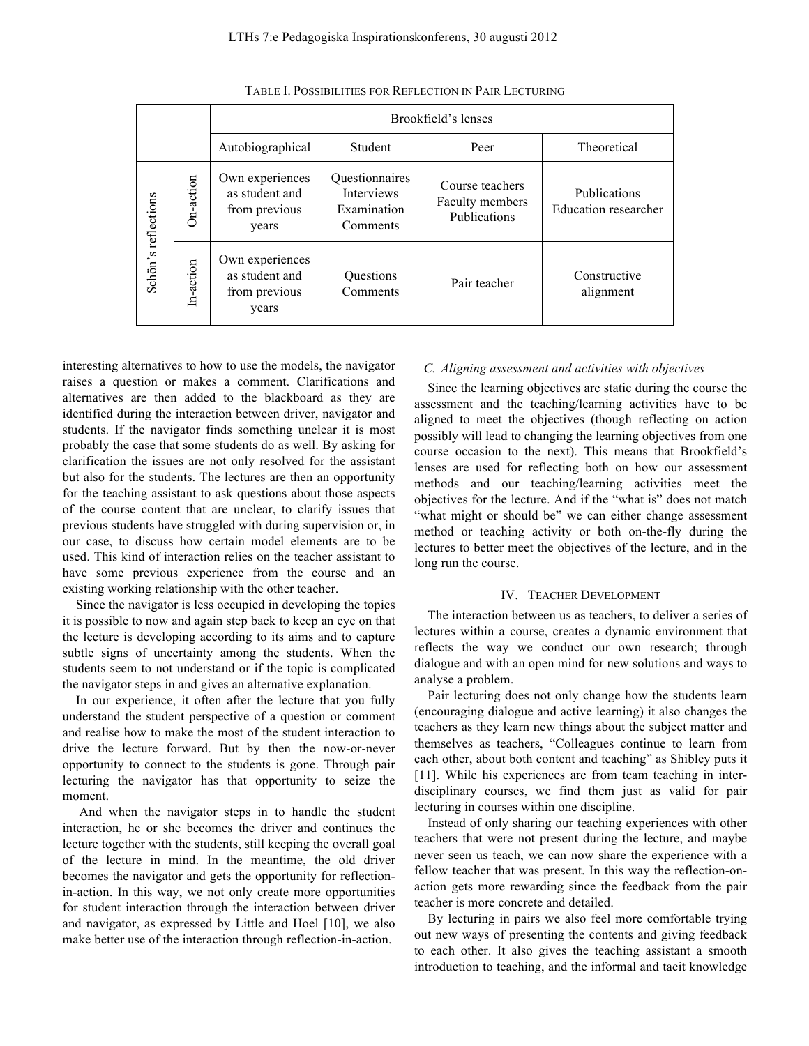|                     |                  | Brookfield's lenses                                         |                                                                |                                                    |                                             |
|---------------------|------------------|-------------------------------------------------------------|----------------------------------------------------------------|----------------------------------------------------|---------------------------------------------|
|                     |                  | Autobiographical                                            | Student                                                        | Peer                                               | Theoretical                                 |
| Schön's reflections | <b>Dn-action</b> | Own experiences<br>as student and<br>from previous<br>years | <b>Ouestionnaires</b><br>Interviews<br>Examination<br>Comments | Course teachers<br>Faculty members<br>Publications | Publications<br><b>Education</b> researcher |
|                     | In-action        | Own experiences<br>as student and<br>from previous<br>years | Questions<br>Comments                                          | Pair teacher                                       | Constructive<br>alignment                   |

TABLE I. POSSIBILITIES FOR REFLECTION IN PAIR LECTURING

interesting alternatives to how to use the models, the navigator raises a question or makes a comment. Clarifications and alternatives are then added to the blackboard as they are identified during the interaction between driver, navigator and students. If the navigator finds something unclear it is most probably the case that some students do as well. By asking for clarification the issues are not only resolved for the assistant but also for the students. The lectures are then an opportunity for the teaching assistant to ask questions about those aspects of the course content that are unclear, to clarify issues that previous students have struggled with during supervision or, in our case, to discuss how certain model elements are to be used. This kind of interaction relies on the teacher assistant to have some previous experience from the course and an existing working relationship with the other teacher.

Since the navigator is less occupied in developing the topics it is possible to now and again step back to keep an eye on that the lecture is developing according to its aims and to capture subtle signs of uncertainty among the students. When the students seem to not understand or if the topic is complicated the navigator steps in and gives an alternative explanation.

In our experience, it often after the lecture that you fully understand the student perspective of a question or comment and realise how to make the most of the student interaction to drive the lecture forward. But by then the now-or-never opportunity to connect to the students is gone. Through pair lecturing the navigator has that opportunity to seize the moment.

And when the navigator steps in to handle the student interaction, he or she becomes the driver and continues the lecture together with the students, still keeping the overall goal of the lecture in mind. In the meantime, the old driver becomes the navigator and gets the opportunity for reflectionin-action. In this way, we not only create more opportunities for student interaction through the interaction between driver and navigator, as expressed by Little and Hoel [10], we also make better use of the interaction through reflection-in-action.

## *C. Aligning assessment and activities with objectives*

Since the learning objectives are static during the course the assessment and the teaching/learning activities have to be aligned to meet the objectives (though reflecting on action possibly will lead to changing the learning objectives from one course occasion to the next). This means that Brookfield's lenses are used for reflecting both on how our assessment methods and our teaching/learning activities meet the objectives for the lecture. And if the "what is" does not match "what might or should be" we can either change assessment method or teaching activity or both on-the-fly during the lectures to better meet the objectives of the lecture, and in the long run the course.

#### IV. TEACHER DEVELOPMENT

The interaction between us as teachers, to deliver a series of lectures within a course, creates a dynamic environment that reflects the way we conduct our own research; through dialogue and with an open mind for new solutions and ways to analyse a problem.

Pair lecturing does not only change how the students learn (encouraging dialogue and active learning) it also changes the teachers as they learn new things about the subject matter and themselves as teachers, "Colleagues continue to learn from each other, about both content and teaching" as Shibley puts it [11]. While his experiences are from team teaching in interdisciplinary courses, we find them just as valid for pair lecturing in courses within one discipline.

Instead of only sharing our teaching experiences with other teachers that were not present during the lecture, and maybe never seen us teach, we can now share the experience with a fellow teacher that was present. In this way the reflection-onaction gets more rewarding since the feedback from the pair teacher is more concrete and detailed.

By lecturing in pairs we also feel more comfortable trying out new ways of presenting the contents and giving feedback to each other. It also gives the teaching assistant a smooth introduction to teaching, and the informal and tacit knowledge